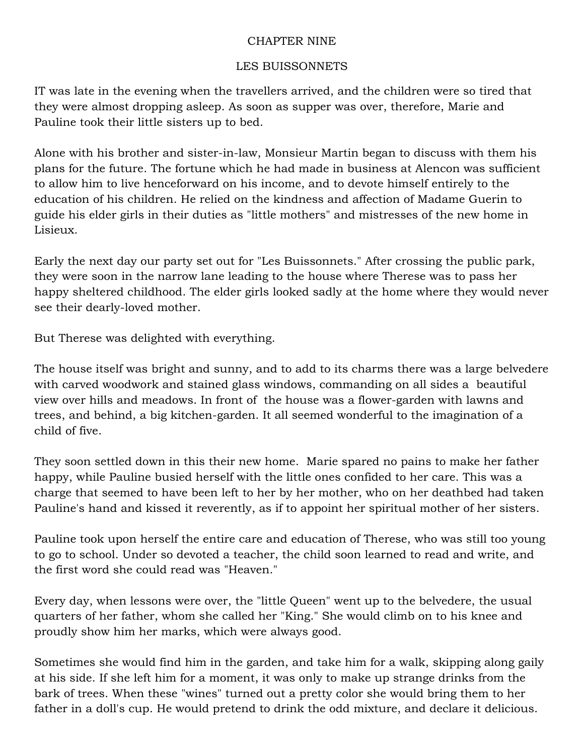## CHAPTER NINE

## LES BUISSONNETS

IT was late in the evening when the travellers arrived, and the children were so tired that they were almost dropping asleep. As soon as supper was over, therefore, Marie and Pauline took their little sisters up to bed.

Alone with his brother and sister-in-law, Monsieur Martin began to discuss with them his plans for the future. The fortune which he had made in business at Alencon was sufficient to allow him to live henceforward on his income, and to devote himself entirely to the education of his children. He relied on the kindness and affection of Madame Guerin to guide his elder girls in their duties as "little mothers" and mistresses of the new home in Lisieux.

Early the next day our party set out for "Les Buissonnets." After crossing the public park, they were soon in the narrow lane leading to the house where Therese was to pass her happy sheltered childhood. The elder girls looked sadly at the home where they would never see their dearly-loved mother.

But Therese was delighted with everything.

The house itself was bright and sunny, and to add to its charms there was a large belvedere with carved woodwork and stained glass windows, commanding on all sides a beautiful view over hills and meadows. In front of the house was a flower-garden with lawns and trees, and behind, a big kitchen-garden. It all seemed wonderful to the imagination of a child of five.

They soon settled down in this their new home. Marie spared no pains to make her father happy, while Pauline busied herself with the little ones confided to her care. This was a charge that seemed to have been left to her by her mother, who on her deathbed had taken Pauline's hand and kissed it reverently, as if to appoint her spiritual mother of her sisters.

Pauline took upon herself the entire care and education of Therese, who was still too young to go to school. Under so devoted a teacher, the child soon learned to read and write, and the first word she could read was "Heaven."

Every day, when lessons were over, the "little Queen" went up to the belvedere, the usual quarters of her father, whom she called her "King." She would climb on to his knee and proudly show him her marks, which were always good.

Sometimes she would find him in the garden, and take him for a walk, skipping along gaily at his side. If she left him for a moment, it was only to make up strange drinks from the bark of trees. When these "wines" turned out a pretty color she would bring them to her father in a doll's cup. He would pretend to drink the odd mixture, and declare it delicious.